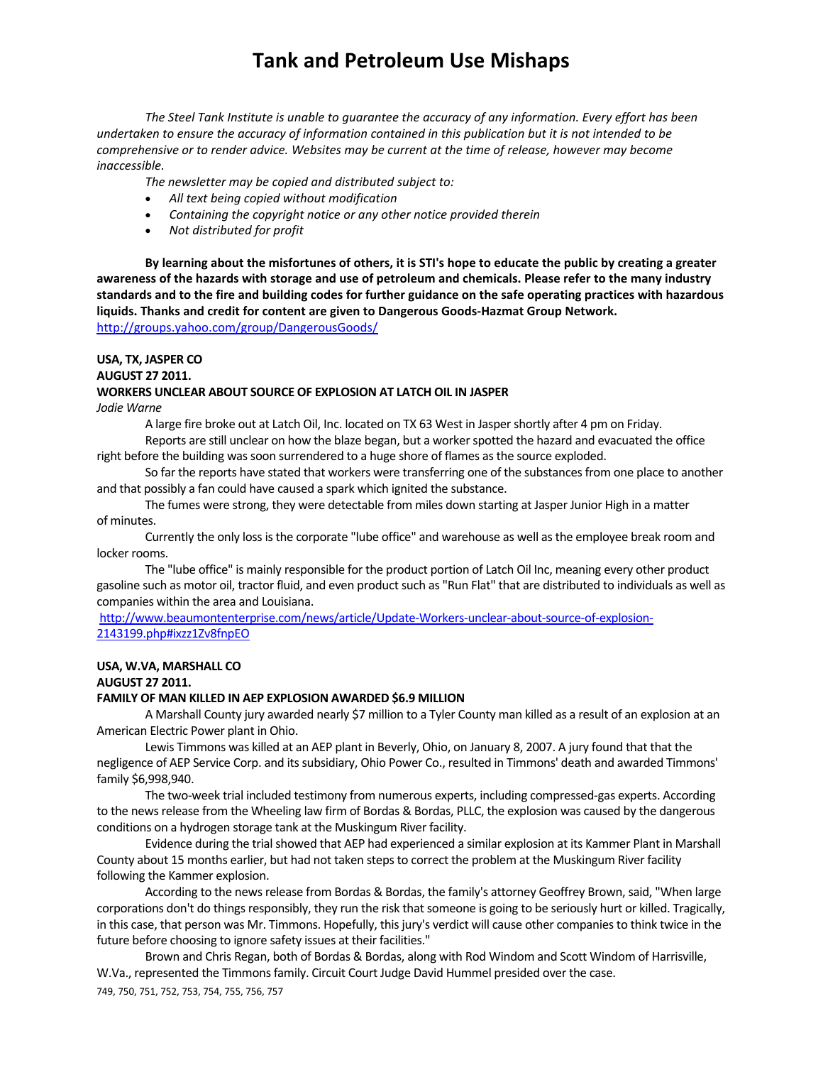*The Steel Tank Institute is unable to guarantee the accuracy of any information. Every effort has been* undertaken to ensure the accuracy of information contained in this publication but it is not intended to be *comprehensive or to render advice. Websites may be current at the time of release, however may become inaccessible.*

*The newsletter may be copied and distributed subject to:*

- *All text being copied without modification*
- *Containing the copyright notice or any other notice provided therein*
- *Not distributed for profit*

By learning about the misfortunes of others, it is STI's hope to educate the public by creating a greater awareness of the hazards with storage and use of petroleum and chemicals. Please refer to the many industry standards and to the fire and building codes for further guidance on the safe operating practices with hazardous **liquids. Thanks and credit for content are given to Dangerous Goods‐Hazmat Group Network.**  http://groups.yahoo.com/group/DangerousGoods/

## **USA, TX, JASPER CO**

## **AUGUST 27 2011.**

### **WORKERS UNCLEAR ABOUT SOURCE OF EXPLOSION AT LATCH OIL IN JASPER**

*Jodie Warne*

A large fire broke out at Latch Oil, Inc. located on TX 63 West in Jaspershortly after 4 pm on Friday.

Reports are still unclear on how the blaze began, but a worker spotted the hazard and evacuated the office right before the building was soon surrendered to a huge shore of flames as the source exploded.

So far the reports have stated that workers were transferring one of the substances from one place to another and that possibly a fan could have caused a spark which ignited the substance.

The fumes were strong, they were detectable from miles down starting at Jasper Junior High in a matter of minutes.

Currently the only lossisthe corporate "lube office" and warehouse as well asthe employee break room and locker rooms.

The "lube office" is mainly responsible for the product portion of Latch Oil Inc, meaning every other product gasoline such as motor oil, tractor fluid, and even product such as "Run Flat" that are distributed to individuals as well as companies within the area and Louisiana.

http://www.beaumontenterprise.com/news/article/Update-Workers-unclear-about-source-of-explosion-2143199.php#ixzz1Zv8fnpEO

## **USA, W.VA, MARSHALL CO**

### **AUGUST 27 2011.**

#### **FAMILY OF MAN KILLED IN AEP EXPLOSION AWARDED \$6.9 MILLION**

A Marshall County jury awarded nearly \$7 million to a Tyler County man killed as a result of an explosion at an American Electric Power plant in Ohio.

Lewis Timmons was killed at an AEP plant in Beverly, Ohio, on January 8, 2007. A jury found that that the negligence of AEP Service Corp. and itssubsidiary, Ohio Power Co., resulted in Timmons' death and awarded Timmons' family \$6,998,940.

The two-week trial included testimony from numerous experts, including compressed-gas experts. According to the news release from the Wheeling law firm of Bordas & Bordas, PLLC, the explosion was caused by the dangerous conditions on a hydrogen storage tank at the Muskingum River facility.

Evidence during the trial showed that AEP had experienced a similar explosion at its Kammer Plant in Marshall County about 15 months earlier, but had not taken stepsto correct the problem at the Muskingum River facility following the Kammer explosion.

According to the news release from Bordas & Bordas, the family's attorney Geoffrey Brown, said, "When large corporations don't do things responsibly, they run the risk that someone is going to be seriously hurt or killed. Tragically, in this case, that person was Mr. Timmons. Hopefully, this jury's verdict will cause other companies to think twice in the future before choosing to ignore safety issues at their facilities."

749, 750, 751, 752, 753, 754, 755, 756, 757 Brown and Chris Regan, both of Bordas & Bordas, along with Rod Windom and Scott Windom of Harrisville, W.Va., represented the Timmonsfamily. Circuit Court Judge David Hummel presided over the case.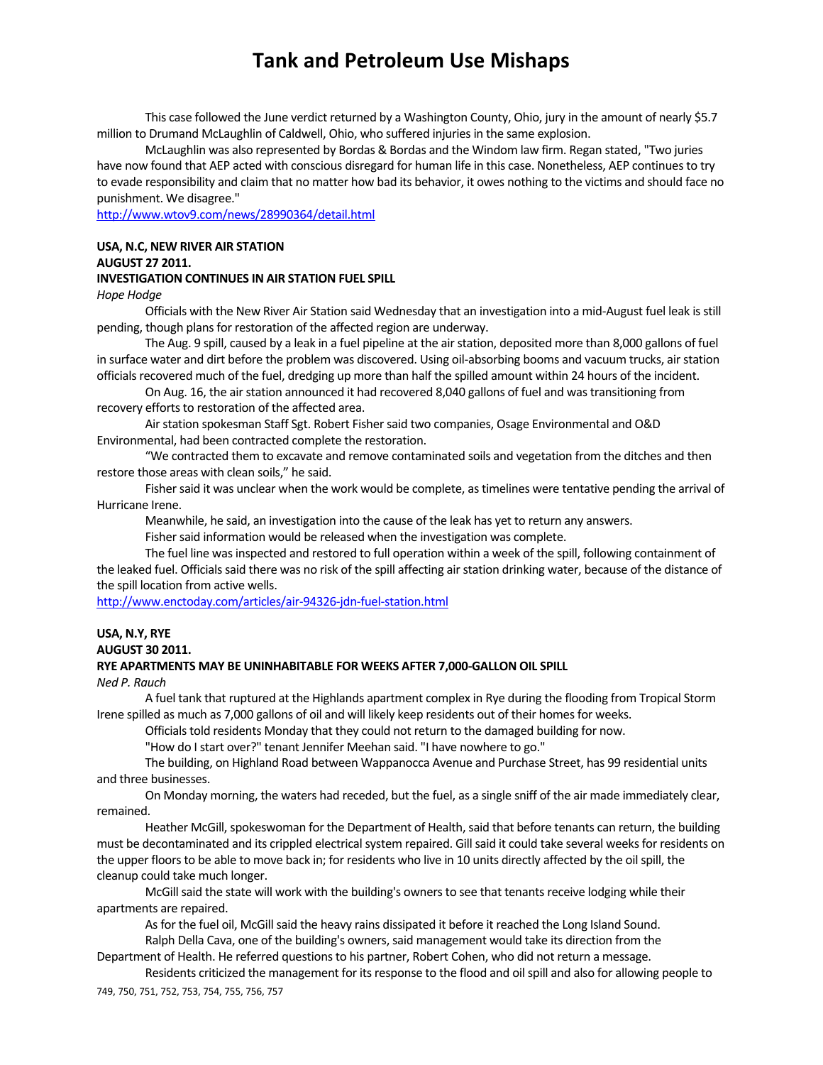This case followed the June verdict returned by a Washington County, Ohio, jury in the amount of nearly \$5.7 million to Drumand McLaughlin of Caldwell, Ohio, who suffered injuriesin the same explosion.

McLaughlin was also represented by Bordas & Bordas and the Windom law firm. Regan stated, "Two juries have now found that AEP acted with conscious disregard for human life in this case. Nonetheless, AEP continues to try to evade responsibility and claim that no matter how bad its behavior, it owes nothing to the victims and should face no punishment. We disagree."

http://www.wtov9.com/news/28990364/detail.html

### **USA, N.C, NEW RIVER AIR STATION AUGUST 27 2011.**

#### **INVESTIGATION CONTINUES IN AIR STATION FUEL SPILL**

*Hope Hodge*

Officials with the New River Air Station said Wednesday that an investigation into a mid-August fuel leak is still pending, though plans for restoration of the affected region are underway.

The Aug. 9 spill, caused by a leak in a fuel pipeline at the air station, deposited more than 8,000 gallons of fuel in surface water and dirt before the problem was discovered. Using oil-absorbing booms and vacuum trucks, air station officials recovered much of the fuel, dredging up more than half the spilled amount within 24 hours of the incident.

On Aug. 16, the air station announced it had recovered 8,040 gallons of fuel and was transitioning from recovery efforts to restoration of the affected area.

Air station spokesman Staff Sgt. Robert Fisher said two companies, Osage Environmental and O&D Environmental, had been contracted complete the restoration.

"We contracted them to excavate and remove contaminated soils and vegetation from the ditches and then restore those areas with clean soils," he said.

Fisher said it was unclear when the work would be complete, as timelines were tentative pending the arrival of Hurricane Irene.

Meanwhile, he said, an investigation into the cause of the leak has yet to return any answers.

Fisher said information would be released when the investigation was complete.

The fuel line wasinspected and restored to full operation within a week of the spill, following containment of the leaked fuel. Officials said there was no risk of the spill affecting air station drinking water, because of the distance of the spill location from active wells.

http://www.enctoday.com/articles/air‐94326‐jdn‐fuel‐station.html

### **USA, N.Y, RYE AUGUST 30 2011.**

#### **RYE APARTMENTS MAY BE UNINHABITABLE FOR WEEKS AFTER 7,000‐GALLON OIL SPILL**

#### *Ned P. Rauch*

A fuel tank that ruptured at the Highlands apartment complex in Rye during the flooding from Tropical Storm Irene spilled as much as 7,000 gallons of oil and will likely keep residents out of their homesfor weeks.

Officials told residents Monday that they could not return to the damaged building for now.

"How do Istart over?" tenant Jennifer Meehan said. "I have nowhere to go."

The building, on Highland Road between Wappanocca Avenue and Purchase Street, has 99 residential units and three businesses.

On Monday morning, the waters had receded, but the fuel, as a single sniff of the air made immediately clear, remained.

Heather McGill, spokeswoman for the Department of Health, said that before tenants can return, the building must be decontaminated and its crippled electrical system repaired. Gill said it could take several weeks for residents on the upper floors to be able to move back in; for residents who live in 10 units directly affected by the oil spill, the cleanup could take much longer.

McGill said the state will work with the building's owners to see that tenants receive lodging while their apartments are repaired.

As for the fuel oil, McGill said the heavy rains dissipated it before it reached the Long Island Sound.

Ralph Della Cava, one of the building's owners, said management would take its direction from the Department of Health. He referred questions to his partner, Robert Cohen, who did not return a message.

749, 750, 751, 752, 753, 754, 755, 756, 757 Residents criticized the management for its response to the flood and oil spill and also for allowing people to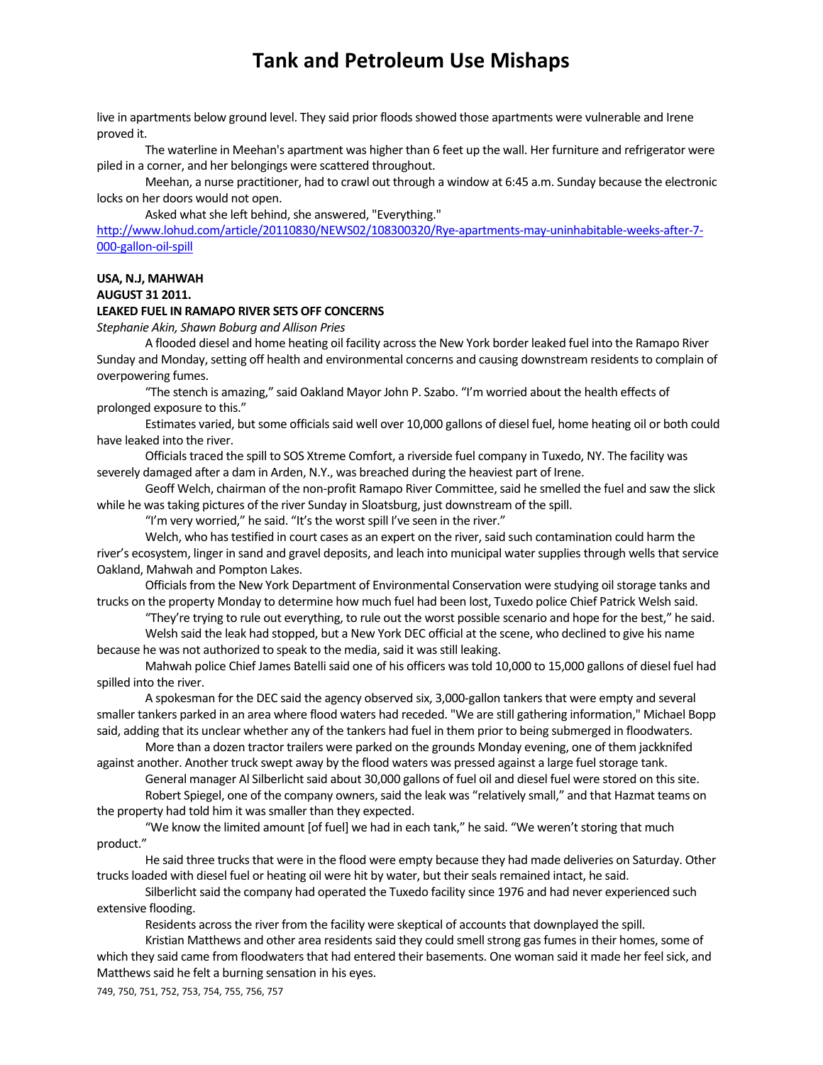live in apartments below ground level. They said prior floods showed those apartments were vulnerable and Irene proved it.

The waterline in Meehan's apartment was higher than 6 feet up the wall. Her furniture and refrigerator were piled in a corner, and her belongings were scattered throughout.

Meehan, a nurse practitioner, had to crawl out through a window at 6:45 a.m. Sunday because the electronic locks on her doors would not open.

Asked what she left behind, she answered, "Everything."

http://www.lohud.com/article/20110830/NEWS02/108300320/Rye-apartments-may-uninhabitable-weeks-after-7-000‐gallon‐oil‐spill

#### **USA, N.J, MAHWAH AUGUST 31 2011.**

#### **LEAKED FUEL IN RAMAPO RIVER SETS OFF CONCERNS**

*Stephanie Akin, Shawn Boburg and Allison Pries*

A flooded diesel and home heating oil facility acrossthe New York border leaked fuel into the Ramapo River Sunday and Monday, setting off health and environmental concerns and causing downstream residents to complain of overpowering fumes.

"The stench is amazing," said Oakland Mayor John P. Szabo. "I'm worried about the health effects of prolonged exposure to this."

Estimates varied, but some officials said well over 10,000 gallons of diesel fuel, home heating oil or both could have leaked into the river.

Officials traced the spill to SOS Xtreme Comfort, a riverside fuel company in Tuxedo, NY. The facility was severely damaged after a dam in Arden, N.Y., was breached during the heaviest part of Irene.

Geoff Welch, chairman of the non-profit Ramapo River Committee, said he smelled the fuel and saw the slick while he was taking pictures of the river Sunday in Sloatsburg, just downstream of the spill.

"I'm very worried," he said. "It's the worst spill I've seen in the river."

Welch, who has testified in court cases as an expert on the river, said such contamination could harm the river's ecosystem, linger in sand and gravel deposits, and leach into municipal water supplies through wells that service Oakland, Mahwah and Pompton Lakes.

Officials from the New York Department of Environmental Conservation were studying oil storage tanks and trucks on the property Monday to determine how much fuel had been lost, Tuxedo police Chief Patrick Welsh said.

"They're trying to rule out everything, to rule out the worst possible scenario and hope for the best," he said. Welsh said the leak had stopped, but a New York DEC official at the scene, who declined to give his name

because he was not authorized to speak to the media, said it was still leaking. Mahwah police Chief James Batellisaid one of his officers wastold 10,000 to 15,000 gallons of diesel fuel had spilled into the river.

A spokesman for the DEC said the agency observed six, 3,000‐gallon tankersthat were empty and several smaller tankers parked in an area where flood waters had receded. "We are still gathering information," Michael Bopp said, adding that its unclear whether any of the tankers had fuel in them prior to being submerged in floodwaters.

More than a dozen tractor trailers were parked on the grounds Monday evening, one of them jackknifed against another. Another truck swept away by the flood waters was pressed against a large fuel storage tank.

General manager Al Silberlicht said about 30,000 gallons of fuel oil and diesel fuel were stored on this site. Robert Spiegel, one of the company owners, said the leak was "relatively small," and that Hazmat teams on the property had told him it was smaller than they expected.

"We know the limited amount [of fuel] we had in each tank," he said. "We weren't storing that much product."

He said three trucks that were in the flood were empty because they had made deliveries on Saturday. Other trucks loaded with diesel fuel or heating oil were hit by water, but their seals remained intact, he said.

Silberlicht said the company had operated the Tuxedo facility since 1976 and had never experienced such extensive flooding.

Residents acrossthe river from the facility were skeptical of accountsthat downplayed the spill.

Kristian Matthews and other area residents said they could smell strong gas fumes in their homes, some of which they said came from floodwaters that had entered their basements. One woman said it made her feel sick, and Matthews said he felt a burning sensation in his eyes.

749, 750, 751, 752, 753, 754, 755, 756, 757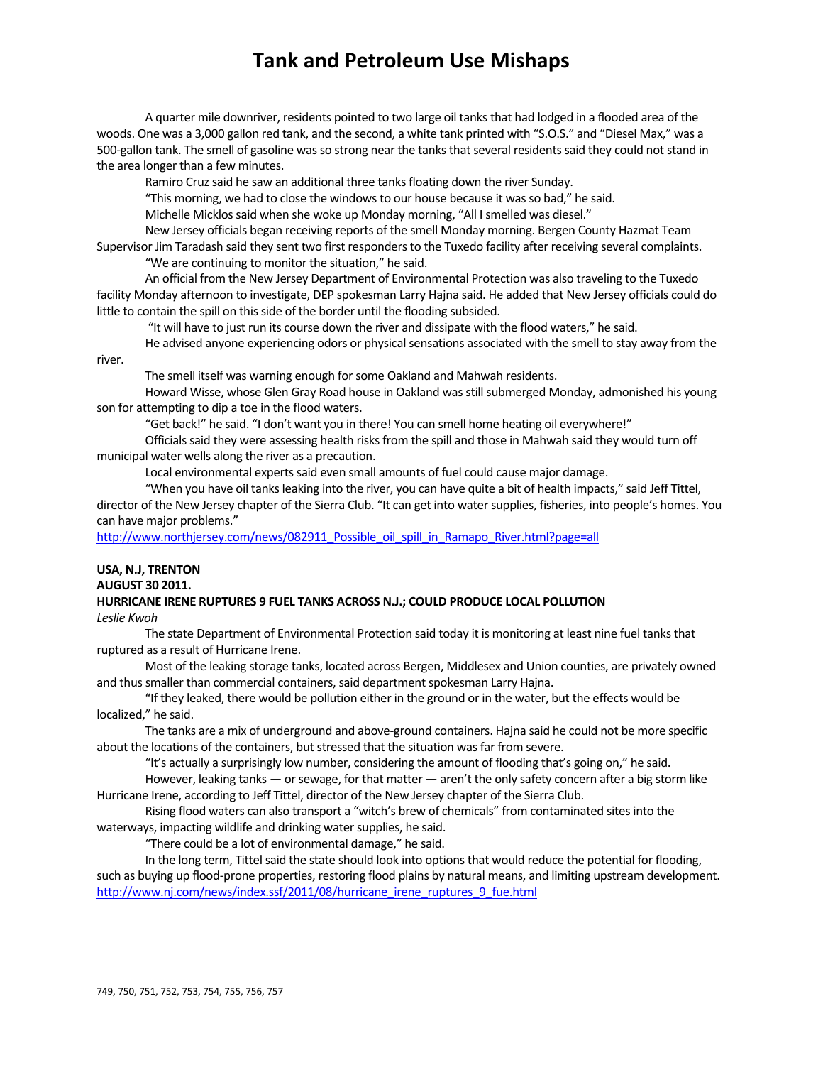A quarter mile downriver, residents pointed to two large oil tanks that had lodged in a flooded area of the woods. One was a 3,000 gallon red tank, and the second, a white tank printed with "S.O.S." and "Diesel Max," was a 500-gallon tank. The smell of gasoline was so strong near the tanks that several residents said they could not stand in the area longer than a few minutes.

Ramiro Cruz said he saw an additional three tanks floating down the river Sunday.

"This morning, we had to close the windowsto our house because it wasso bad," he said.

Michelle Micklos said when she woke up Monday morning, "All I smelled was diesel."

New Jersey officials began receiving reports of the smell Monday morning. Bergen County Hazmat Team Supervisor Jim Taradash said they sent two first responders to the Tuxedo facility after receiving several complaints.

"We are continuing to monitor the situation," he said.

An official from the New Jersey Department of Environmental Protection was also traveling to the Tuxedo facility Monday afternoon to investigate, DEP spokesman Larry Hajna said. He added that New Jersey officials could do little to contain the spill on this side of the border until the flooding subsided.

"It will have to just run its course down the river and dissipate with the flood waters," he said.

He advised anyone experiencing odors or physical sensations associated with the smell to stay away from the

river.

The smell itself was warning enough forsome Oakland and Mahwah residents.

Howard Wisse, whose Glen Gray Road house in Oakland was still submerged Monday, admonished his young son for attempting to dip a toe in the flood waters.

"Get back!" he said. "I don't want you in there! You can smell home heating oil everywhere!"

Officials said they were assessing health risks from the spill and those in Mahwah said they would turn off municipal water wells along the river as a precaution.

Local environmental experts said even small amounts of fuel could cause major damage.

"When you have oil tanks leaking into the river, you can have quite a bit of health impacts," said Jeff Tittel, director of the New Jersey chapter of the Sierra Club. "It can get into water supplies, fisheries, into people's homes. You can have major problems."

http://www.northjersey.com/news/082911 Possible oil spill in Ramapo River.html?page=all

## **USA, N.J, TRENTON**

**AUGUST 30 2011.** 

### **HURRICANE IRENE RUPTURES 9 FUEL TANKS ACROSS N.J.; COULD PRODUCE LOCAL POLLUTION** *Leslie Kwoh*

The state Department of Environmental Protection said today it is monitoring at least nine fuel tanks that ruptured as a result of Hurricane Irene.

Most of the leaking storage tanks, located across Bergen, Middlesex and Union counties, are privately owned and thus smaller than commercial containers, said department spokesman Larry Hajna.

"If they leaked, there would be pollution either in the ground or in the water, but the effects would be localized," he said.

The tanks are a mix of underground and above‐ground containers. Hajna said he could not be more specific about the locations of the containers, but stressed that the situation was far from severe.

"It's actually a surprisingly low number, considering the amount of flooding that's going on," he said.

However, leaking tanks — or sewage, for that matter — aren't the only safety concern after a big storm like Hurricane Irene, according to Jeff Tittel, director of the New Jersey chapter of the Sierra Club.

Rising flood waters can also transport a "witch's brew of chemicals" from contaminated sitesinto the waterways, impacting wildlife and drinking water supplies, he said.

"There could be a lot of environmental damage," he said.

In the long term, Tittel said the state should look into options that would reduce the potential for flooding, such as buying up flood-prone properties, restoring flood plains by natural means, and limiting upstream development. http://www.nj.com/news/index.ssf/2011/08/hurricane\_irene\_ruptures\_9\_fue.html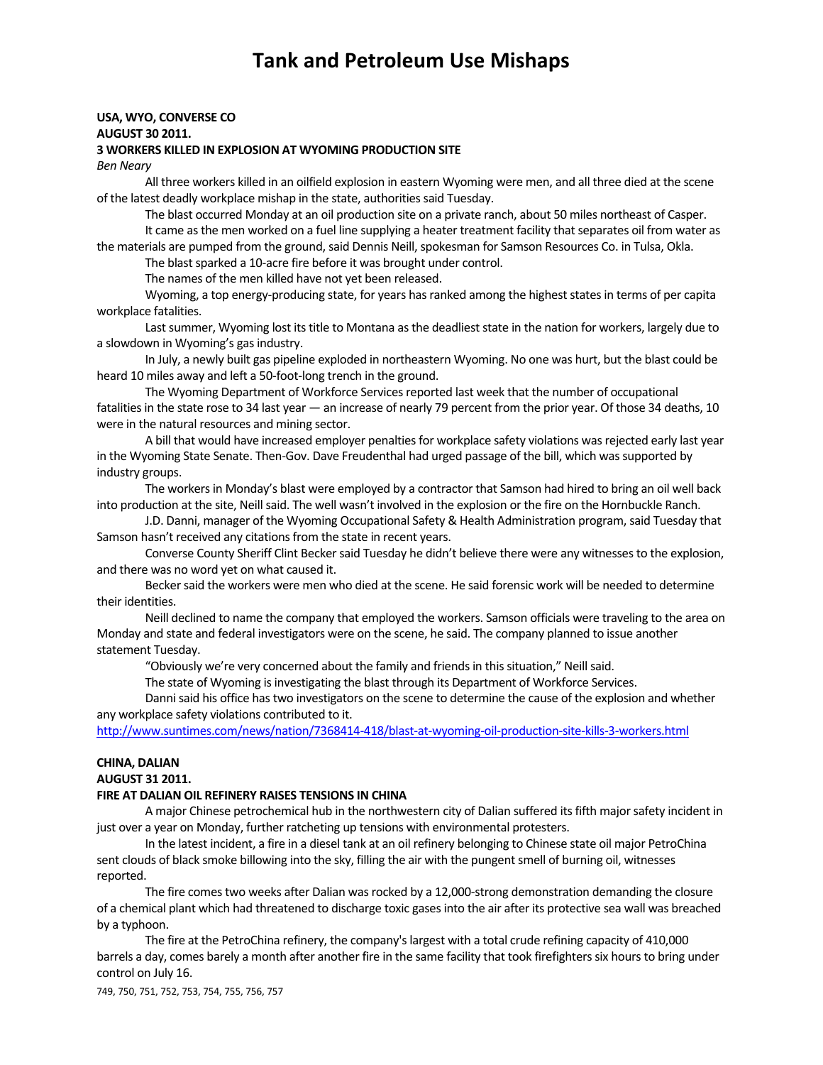### **USA, WYO, CONVERSE CO AUGUST 30 2011.**

### **3 WORKERS KILLED IN EXPLOSION AT WYOMING PRODUCTION SITE**

*Ben Neary*

All three workers killed in an oilfield explosion in eastern Wyoming were men, and all three died at the scene of the latest deadly workplace mishap in the state, authorities said Tuesday.

The blast occurred Monday at an oil production site on a private ranch, about 50 miles northeast of Casper. It came as the men worked on a fuel line supplying a heater treatment facility that separates oil from water as

the materials are pumped from the ground, said Dennis Neill, spokesman for Samson Resources Co. in Tulsa, Okla.

The blast sparked a 10-acre fire before it was brought under control.

The names of the men killed have not yet been released.

Wyoming, a top energy-producing state, for years has ranked among the highest states in terms of per capita workplace fatalities.

Last summer, Wyoming lost its title to Montana as the deadliest state in the nation for workers, largely due to a slowdown in Wyoming's gas industry.

In July, a newly built gas pipeline exploded in northeastern Wyoming. No one was hurt, but the blast could be heard 10 miles away and left a 50‐foot‐long trench in the ground.

The Wyoming Department of Workforce Services reported last week that the number of occupational fatalities in the state rose to 34 last year — an increase of nearly 79 percent from the prior year. Of those 34 deaths, 10 were in the natural resources and mining sector.

A bill that would have increased employer penalties for workplace safety violations was rejected early last year in the Wyoming State Senate. Then-Gov. Dave Freudenthal had urged passage of the bill, which was supported by industry groups.

The workersin Monday's blast were employed by a contractor that Samson had hired to bring an oil well back into production at the site, Neill said. The well wasn't involved in the explosion or the fire on the Hornbuckle Ranch.

J.D. Danni, manager of the Wyoming Occupational Safety & Health Administration program, said Tuesday that Samson hasn't received any citations from the state in recent years.

Converse County Sheriff Clint Becker said Tuesday he didn't believe there were any witnesses to the explosion, and there was no word yet on what caused it.

Becker said the workers were men who died at the scene. He said forensic work will be needed to determine their identities.

Neill declined to name the company that employed the workers. Samson officials were traveling to the area on Monday and state and federal investigators were on the scene, he said. The company planned to issue another statement Tuesday.

"Obviously we're very concerned about the family and friends in this situation," Neill said.

The state of Wyoming is investigating the blast through its Department of Workforce Services.

Dannisaid his office hastwo investigators on the scene to determine the cause of the explosion and whether any workplace safety violations contributed to it.

http://www.suntimes.com/news/nation/7368414-418/blast-at-wyoming-oil-production-site-kills-3-workers.html

## **CHINA, DALIAN**

## **AUGUST 31 2011.**

### **FIRE AT DALIAN OIL REFINERY RAISES TENSIONS IN CHINA**

A major Chinese petrochemical hub in the northwestern city of Dalian suffered itsfifth majorsafety incident in just over a year on Monday, further ratcheting up tensions with environmental protesters.

In the latest incident, a fire in a diesel tank at an oil refinery belonging to Chinese state oil major PetroChina sent clouds of black smoke billowing into the sky, filling the air with the pungent smell of burning oil, witnesses reported.

The fire comes two weeks after Dalian was rocked by a 12,000-strong demonstration demanding the closure of a chemical plant which had threatened to discharge toxic gasesinto the air after its protective sea wall was breached by a typhoon.

The fire at the PetroChina refinery, the company'slargest with a total crude refining capacity of 410,000 barrels a day, comes barely a month after another fire in the same facility that took firefighters six hours to bring under control on July 16.

749, 750, 751, 752, 753, 754, 755, 756, 757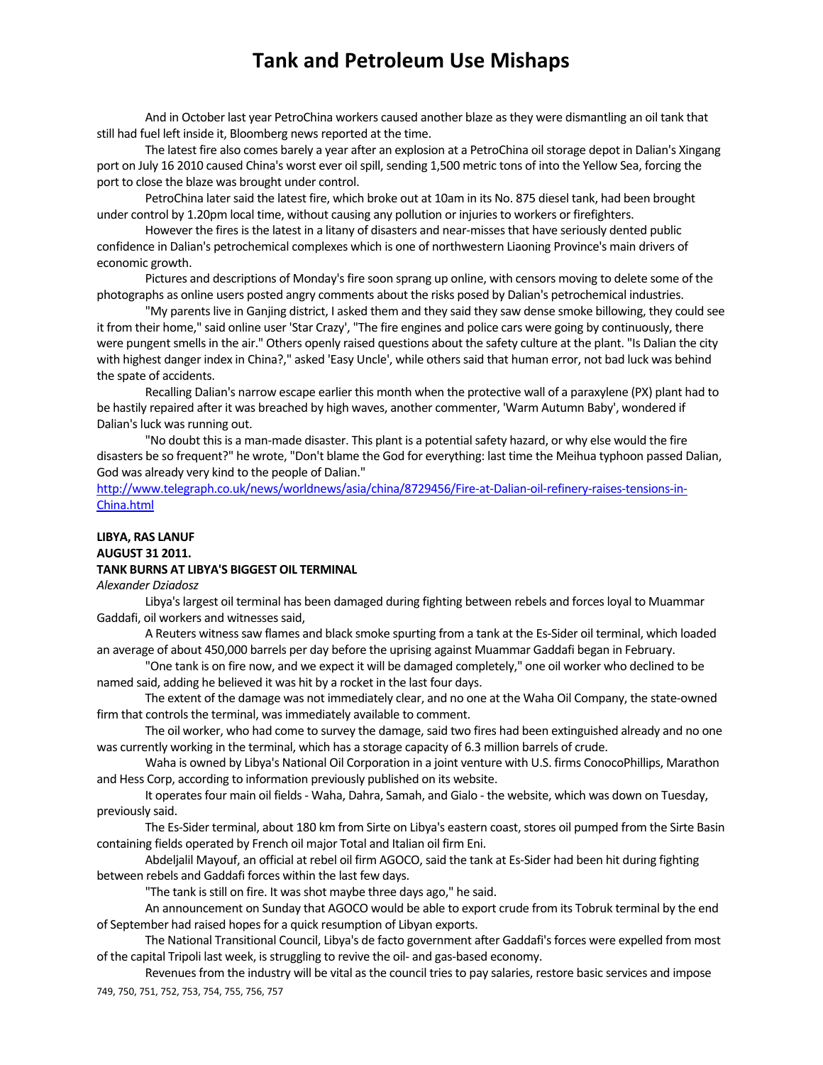And in October last year PetroChina workers caused another blaze as they were dismantling an oil tank that still had fuel left inside it, Bloomberg news reported at the time.

The latest fire also comes barely a year after an explosion at a PetroChina oil storage depot in Dalian's Xingang port on July 16 2010 caused China's worst ever oil spill, sending 1,500 metric tons of into the Yellow Sea, forcing the port to close the blaze was brought under control.

PetroChina later said the latest fire, which broke out at 10am in its No. 875 diesel tank, had been brought under control by 1.20pm local time, without causing any pollution or injuries to workers or firefighters.

However the fires is the latest in a litany of disasters and near-misses that have seriously dented public confidence in Dalian's petrochemical complexes which is one of northwestern Liaoning Province's main drivers of economic growth.

Pictures and descriptions of Monday's fire soon sprang up online, with censors moving to delete some of the photographs as online users posted angry comments about the risks posed by Dalian's petrochemical industries.

"My parents live in Ganjing district, I asked them and they said they saw dense smoke billowing, they could see it from their home," said online user 'Star Crazy', "The fire engines and police cars were going by continuously, there were pungent smells in the air." Others openly raised questions about the safety culture at the plant. "Is Dalian the city with highest danger index in China?," asked 'Easy Uncle', while otherssaid that human error, not bad luck was behind the spate of accidents.

Recalling Dalian's narrow escape earlier this month when the protective wall of a paraxylene (PX) plant had to be hastily repaired after it was breached by high waves, another commenter, 'Warm Autumn Baby', wondered if Dalian's luck was running out.

"No doubt this is a man-made disaster. This plant is a potential safety hazard, or why else would the fire disasters be so frequent?" he wrote, "Don't blame the God for everything: last time the Meihua typhoon passed Dalian, God was already very kind to the people of Dalian."

http://www.telegraph.co.uk/news/worldnews/asia/china/8729456/Fire-at-Dalian-oil-refinery-raises-tensions-in-China.html

### **LIBYA, RAS LANUF AUGUST 31 2011. TANK BURNS AT LIBYA'S BIGGEST OIL TERMINAL**

*Alexander Dziadosz*

Libya's largest oil terminal has been damaged during fighting between rebels and forces loyal to Muammar Gaddafi, oil workers and witnesses said,

A Reuters witnesssaw flames and black smoke spurting from a tank at the Es‐Sider oil terminal, which loaded an average of about 450,000 barrels per day before the uprising against Muammar Gaddafi began in February.

"One tank is on fire now, and we expect it will be damaged completely," one oil worker who declined to be named said, adding he believed it was hit by a rocket in the last four days.

The extent of the damage was not immediately clear, and no one at the Waha Oil Company, the state‐owned firm that controls the terminal, was immediately available to comment.

The oil worker, who had come to survey the damage, said two fires had been extinguished already and no one was currently working in the terminal, which has a storage capacity of 6.3 million barrels of crude.

Waha is owned by Libya's National Oil Corporation in a joint venture with U.S. firms ConocoPhillips, Marathon and Hess Corp, according to information previously published on its website.

It operates four main oil fields - Waha, Dahra, Samah, and Gialo - the website, which was down on Tuesday, previously said.

The Es-Sider terminal, about 180 km from Sirte on Libya's eastern coast, stores oil pumped from the Sirte Basin containing fields operated by French oil major Total and Italian oil firm Eni.

Abdeljalil Mayouf, an official at rebel oil firm AGOCO,said the tank at Es‐Sider had been hit during fighting between rebels and Gaddafi forces within the last few days.

"The tank is still on fire. It was shot maybe three days ago," he said.

An announcement on Sunday that AGOCO would be able to export crude from its Tobruk terminal by the end of September had raised hopes for a quick resumption of Libyan exports.

The National Transitional Council, Libya's de facto government after Gaddafi's forces were expelled from most of the capital Tripoli last week, is struggling to revive the oil- and gas-based economy.

749, 750, 751, 752, 753, 754, 755, 756, 757 Revenues from the industry will be vital as the council tries to pay salaries, restore basic services and impose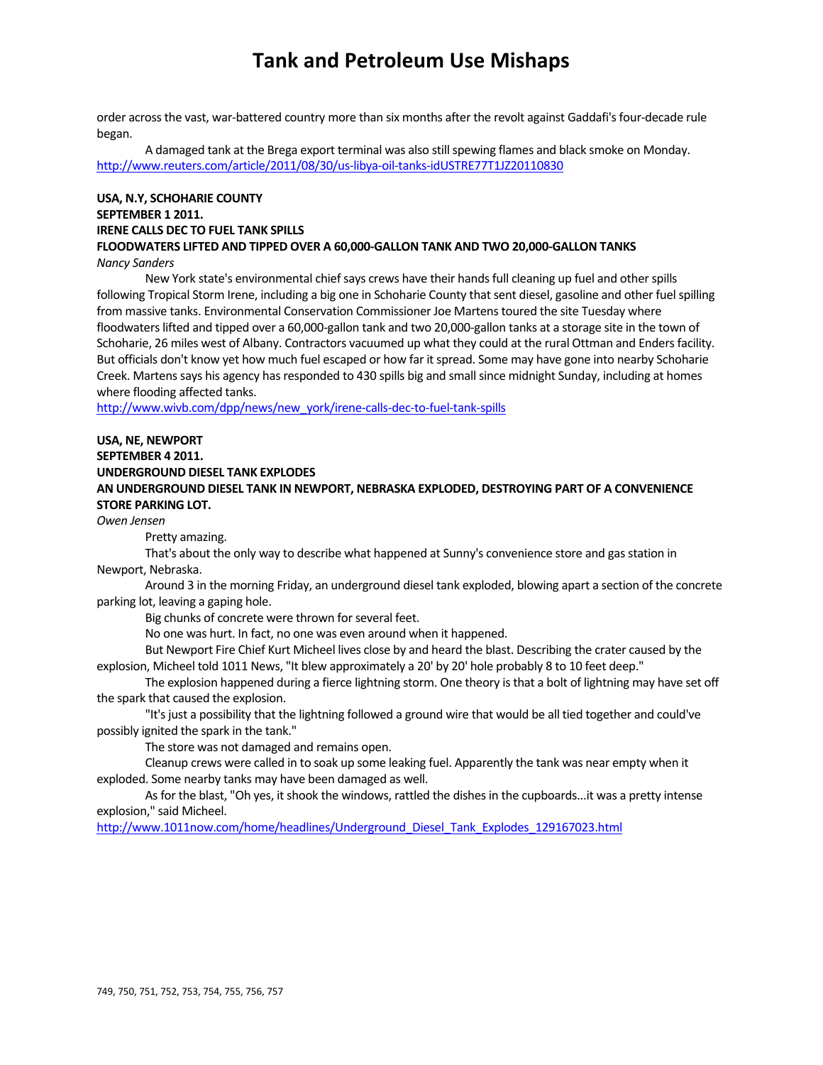order across the vast, war-battered country more than six months after the revolt against Gaddafi's four-decade rule began.

A damaged tank at the Brega export terminal was also still spewing flames and black smoke on Monday. http://www.reuters.com/article/2011/08/30/us‐libya‐oil‐tanks‐idUSTRE77T1JZ20110830

## **USA, N.Y, SCHOHARIE COUNTY SEPTEMBER 1 2011. IRENE CALLS DEC TO FUEL TANK SPILLS**

### **FLOODWATERS LIFTED AND TIPPED OVER A 60,000‐GALLON TANK AND TWO 20,000‐GALLON TANKS** *Nancy Sanders*

New York state's environmental chief says crews have their hands full cleaning up fuel and other spills following Tropical Storm Irene, including a big one in Schoharie County that sent diesel, gasoline and other fuel spilling from massive tanks. Environmental Conservation Commissioner Joe Martens toured the site Tuesday where floodwaters lifted and tipped over a 60,000-gallon tank and two 20,000-gallon tanks at a storage site in the town of Schoharie, 26 miles west of Albany. Contractors vacuumed up what they could at the rural Ottman and Enders facility. But officials don't know yet how much fuel escaped or how far it spread. Some may have gone into nearby Schoharie Creek. Martens says his agency has responded to 430 spills big and small since midnight Sunday, including at homes where flooding affected tanks.

http://www.wivb.com/dpp/news/new\_york/irene-calls-dec-to-fuel-tank-spills

### **USA, NE, NEWPORT SEPTEMBER 4 2011. UNDERGROUND DIESEL TANK EXPLODES AN UNDERGROUND DIESEL TANK IN NEWPORT, NEBRASKA EXPLODED, DESTROYING PART OF A CONVENIENCE STORE PARKING LOT.**

*Owen Jensen*

Pretty amazing.

That's about the only way to describe what happened at Sunny's convenience store and gasstation in Newport, Nebraska.

Around 3 in the morning Friday, an underground diesel tank exploded, blowing apart a section of the concrete parking lot, leaving a gaping hole.

Big chunks of concrete were thrown for several feet.

No one was hurt. In fact, no one was even around when it happened.

But Newport Fire Chief Kurt Micheel lives close by and heard the blast. Describing the crater caused by the explosion, Micheel told 1011 News, "It blew approximately a 20' by 20' hole probably 8 to 10 feet deep."

The explosion happened during a fierce lightning storm. One theory isthat a bolt of lightning may have set off the spark that caused the explosion.

"It'sjust a possibility that the lightning followed a ground wire that would be all tied together and could've possibly ignited the spark in the tank."

The store was not damaged and remains open.

Cleanup crews were called in to soak up some leaking fuel. Apparently the tank was near empty when it exploded. Some nearby tanks may have been damaged as well.

As for the blast, "Oh yes, it shook the windows, rattled the dishes in the cupboards...it was a pretty intense explosion," said Micheel.

http://www.1011now.com/home/headlines/Underground\_Diesel\_Tank\_Explodes\_129167023.html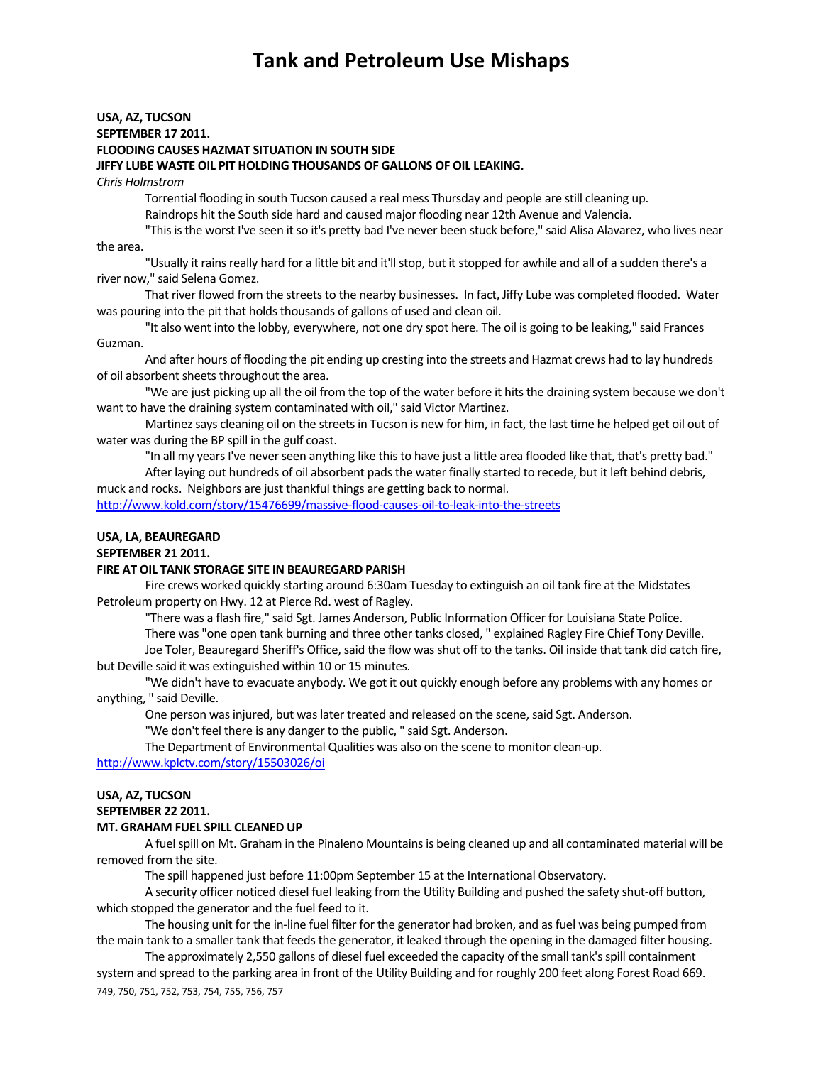### **USA, AZ, TUCSON SEPTEMBER 17 2011. FLOODING CAUSES HAZMAT SITUATION IN SOUTH SIDE JIFFY LUBE WASTE OIL PIT HOLDING THOUSANDS OF GALLONS OF OIL LEAKING.**

*Chris Holmstrom*

Torrential flooding in south Tucson caused a real mess Thursday and people are still cleaning up. Raindrops hit the South side hard and caused major flooding near 12th Avenue and Valencia.

"This is the worst I've seen it so it's pretty bad I've never been stuck before," said Alisa Alavarez, who lives near the area.

"Usually it rains really hard for a little bit and it'll stop, but it stopped for awhile and all of a sudden there's a river now," said Selena Gomez.

That river flowed from the streets to the nearby businesses. In fact, Jiffy Lube was completed flooded. Water was pouring into the pit that holds thousands of gallons of used and clean oil.

"It also went into the lobby, everywhere, not one dry spot here. The oil is going to be leaking," said Frances Guzman.

And after hours of flooding the pit ending up cresting into the streets and Hazmat crews had to lay hundreds of oil absorbent sheets throughout the area.

"We are just picking up all the oil from the top of the water before it hits the draining system because we don't want to have the draining system contaminated with oil," said Victor Martinez.

Martinez says cleaning oil on the streets in Tucson is new for him, in fact, the last time he helped get oil out of water was during the BP spill in the gulf coast.

"In all my years I've never seen anything like this to have just a little area flooded like that, that's pretty bad."

After laying out hundreds of oil absorbent pads the water finally started to recede, but it left behind debris, muck and rocks. Neighbors are just thankful things are getting back to normal.

http://www.kold.com/story/15476699/massive‐flood‐causes‐oil‐to‐leak‐into‐the‐streets

### **USA, LA, BEAUREGARD**

### **SEPTEMBER 21 2011.**

### **FIRE AT OIL TANK STORAGE SITE IN BEAUREGARD PARISH**

Fire crews worked quickly starting around 6:30am Tuesday to extinguish an oil tank fire at the Midstates Petroleum property on Hwy. 12 at Pierce Rd. west of Ragley.

"There was a flash fire," said Sgt. James Anderson, Public Information Officer for Louisiana State Police. There was "one open tank burning and three other tanks closed, " explained Ragley Fire Chief Tony Deville.

Joe Toler, Beauregard Sheriff's Office, said the flow was shut off to the tanks. Oil inside that tank did catch fire, but Deville said it was extinguished within 10 or 15 minutes.

"We didn't have to evacuate anybody. We got it out quickly enough before any problems with any homes or anything, " said Deville.

One person was injured, but was later treated and released on the scene, said Sgt. Anderson.

"We don't feel there is any danger to the public, " said Sgt. Anderson.

The Department of Environmental Qualities was also on the scene to monitor clean‐up. http://www.kplctv.com/story/15503026/oi

## **USA, AZ, TUCSON**

**SEPTEMBER 22 2011.** 

### **MT. GRAHAM FUEL SPILL CLEANED UP**

A fuel spill on Mt. Graham in the Pinaleno Mountains is being cleaned up and all contaminated material will be removed from the site.

The spill happened just before 11:00pm September 15 at the International Observatory.

A security officer noticed diesel fuel leaking from the Utility Building and pushed the safety shut‐off button, which stopped the generator and the fuel feed to it.

The housing unit for the in-line fuel filter for the generator had broken, and as fuel was being pumped from the main tank to a smaller tank that feeds the generator, it leaked through the opening in the damaged filter housing.

749, 750, 751, 752, 753, 754, 755, 756, 757 The approximately 2,550 gallons of diesel fuel exceeded the capacity of the small tank'sspill containment system and spread to the parking area in front of the Utility Building and for roughly 200 feet along Forest Road 669.